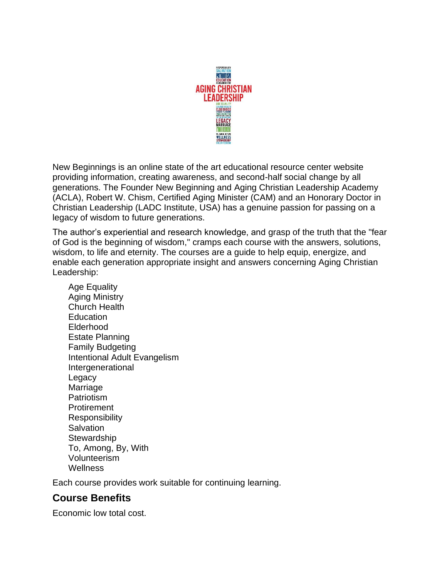

New Beginnings is an online state of the art educational resource center website providing information, creating awareness, and second-half social change by all generations. The Founder New Beginning and Aging Christian Leadership Academy (ACLA), Robert W. Chism, Certified Aging Minister (CAM) and an Honorary Doctor in Christian Leadership (LADC Institute, USA) has a genuine passion for passing on a legacy of wisdom to future generations.

The author's experiential and research knowledge, and grasp of the truth that the "fear of God is the beginning of wisdom," cramps each course with the answers, solutions, wisdom, to life and eternity. The courses are a guide to help equip, energize, and enable each generation appropriate insight and answers concerning Aging Christian Leadership:

Age Equality Aging Ministry Church Health **Education** Elderhood Estate Planning Family Budgeting Intentional Adult Evangelism Intergenerational Legacy Marriage Patriotism **Protirement** Responsibility **Salvation Stewardship** To, Among, By, With Volunteerism **Wellness** 

Each course provides work suitable for continuing learning.

## **Course Benefits**

Economic low total cost.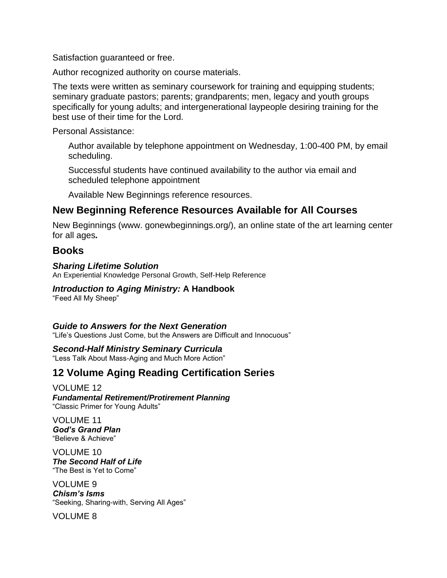Satisfaction guaranteed or free.

Author recognized authority on course materials.

The texts were written as seminary coursework for training and equipping students; seminary graduate pastors; parents; grandparents; men, legacy and youth groups specifically for young adults; and intergenerational laypeople desiring training for the best use of their time for the Lord.

Personal Assistance:

Author available by telephone appointment on Wednesday, 1:00-400 PM, by email scheduling.

Successful students have continued availability to the author via email and scheduled telephone appointment

Available New Beginnings reference resources.

## **New Beginning Reference Resources Available for All Courses**

New Beginnings (www. gonewbeginnings.org/), an online state of the art learning center for all ages*.*

## **Books**

#### *Sharing Lifetime Solution*

An Experiential Knowledge Personal Growth, Self-Help Reference

### *Introduction to Aging Ministry:* **A Handbook**

"Feed All My Sheep"

#### *Guide to Answers for the Next Generation*

"Life's Questions Just Come, but the Answers are Difficult and Innocuous"

*Second-Half Ministry Seminary Curricula* "Less Talk About Mass-Aging and Much More Action"

# **12 Volume Aging Reading Certification Series**

#### VOLUME 12

*Fundamental Retirement/Protirement Planning* "Classic Primer for Young Adults"

VOLUME 11 *God's Grand Plan* "Believe & Achieve"

VOLUME 10 *The Second Half of Life* "The Best is Yet to Come"

VOLUME 9 *Chism's Isms* "Seeking, Sharing-with, Serving All Ages"

VOLUME 8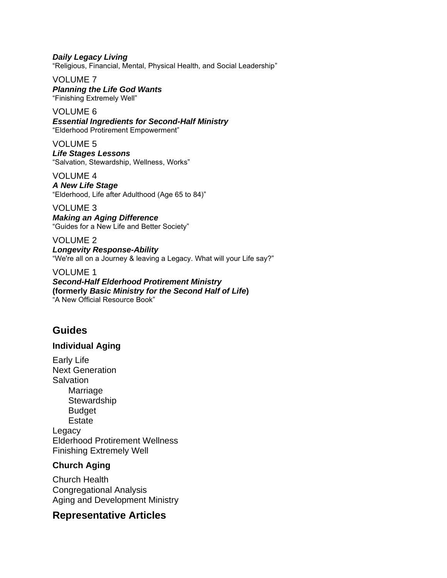*Daily Legacy Living* "Religious, Financial, Mental, Physical Health, and Social Leadership"

VOLUME 7 *Planning the Life God Wants* "Finishing Extremely Well"

VOLUME 6 *Essential Ingredients for Second-Half Ministry* "Elderhood Protirement Empowerment"

VOLUME 5 *Life Stages Lessons* "Salvation, Stewardship, Wellness, Works"

VOLUME 4 *A New Life Stage* "Elderhood, Life after Adulthood (Age 65 to 84)"

VOLUME 3 *Making an Aging Difference* "Guides for a New Life and Better Society"

VOLUME 2 *Longevity Response-Ability* "We're all on a Journey & leaving a Legacy. What will your Life say?"

VOLUME 1 *Second-Half Elderhood Protirement Ministry* **(formerly** *Basic Ministry for the Second Half of Life***)** "A New Official Resource Book"

# **Guides**

### **Individual Aging**

Early Life Next Generation **Salvation** Marriage **Stewardship** Budget **Estate Legacy** Elderhood Protirement Wellness Finishing Extremely Well

### **Church Aging**

Church Health Congregational Analysis Aging and Development Ministry

## **Representative Articles**